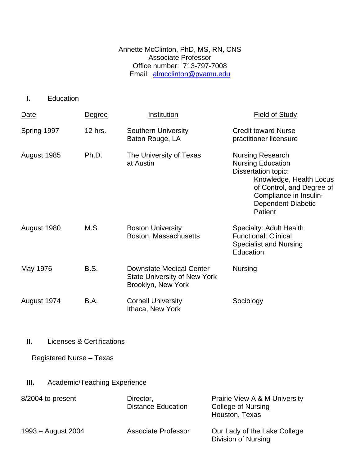Annette McClinton, PhD, MS, RN, CNS Associate Professor Office number: 713-797-7008 Email: [almcclinton@pvamu.edu](mailto:almcclinton@pvamu.edu)

**I.** Education

| Date        | Degree  | Institution                                                                                  | <b>Field of Study</b>                                                                                                                                                                                |
|-------------|---------|----------------------------------------------------------------------------------------------|------------------------------------------------------------------------------------------------------------------------------------------------------------------------------------------------------|
| Spring 1997 | 12 hrs. | <b>Southern University</b><br>Baton Rouge, LA                                                | <b>Credit toward Nurse</b><br>practitioner licensure                                                                                                                                                 |
| August 1985 | Ph.D.   | The University of Texas<br>at Austin                                                         | <b>Nursing Research</b><br><b>Nursing Education</b><br><b>Dissertation topic:</b><br>Knowledge, Health Locus<br>of Control, and Degree of<br>Compliance in Insulin-<br>Dependent Diabetic<br>Patient |
| August 1980 | M.S.    | <b>Boston University</b><br>Boston, Massachusetts                                            | <b>Specialty: Adult Health</b><br><b>Functional: Clinical</b><br><b>Specialist and Nursing</b><br>Education                                                                                          |
| May 1976    | B.S.    | <b>Downstate Medical Center</b><br><b>State University of New York</b><br>Brooklyn, New York | <b>Nursing</b>                                                                                                                                                                                       |
| August 1974 | B.A.    | <b>Cornell University</b><br>Ithaca, New York                                                | Sociology                                                                                                                                                                                            |

**II.** Licenses & Certifications

Registered Nurse – Texas

**III.** Academic/Teaching Experience

| 8/2004 to present  | Director,<br><b>Distance Education</b> | Prairie View A & M University<br>College of Nursing<br>Houston, Texas |
|--------------------|----------------------------------------|-----------------------------------------------------------------------|
| 1993 – August 2004 | Associate Professor                    | Our Lady of the Lake College<br>Division of Nursing                   |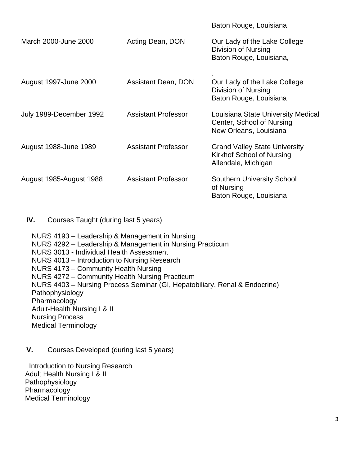|                         |                            | Baton Rouge, Louisiana                                                                    |
|-------------------------|----------------------------|-------------------------------------------------------------------------------------------|
| March 2000-June 2000    | Acting Dean, DON           | Our Lady of the Lake College<br>Division of Nursing<br>Baton Rouge, Louisiana,            |
| August 1997-June 2000   | <b>Assistant Dean, DON</b> | Our Lady of the Lake College<br>Division of Nursing<br>Baton Rouge, Louisiana             |
| July 1989-December 1992 | <b>Assistant Professor</b> | Louisiana State University Medical<br>Center, School of Nursing<br>New Orleans, Louisiana |
| August 1988-June 1989   | <b>Assistant Professor</b> | <b>Grand Valley State University</b><br>Kirkhof School of Nursing<br>Allendale, Michigan  |
| August 1985-August 1988 | <b>Assistant Professor</b> | <b>Southern University School</b><br>of Nursing<br>Baton Rouge, Louisiana                 |

**IV.** Courses Taught (during last 5 years)

NURS 4193 – Leadership & Management in Nursing NURS 4292 – Leadership & Management in Nursing Practicum NURS 3013 - Individual Health Assessment NURS 4013 – Introduction to Nursing Research NURS 4173 – Community Health Nursing NURS 4272 – Community Health Nursing Practicum NURS 4403 – Nursing Process Seminar (GI, Hepatobiliary, Renal & Endocrine) Pathophysiology Pharmacology Adult-Health Nursing I & II Nursing Process Medical Terminology

**V.** Courses Developed (during last 5 years)

Introduction to Nursing Research Adult Health Nursing I & II Pathophysiology Pharmacology Medical Terminology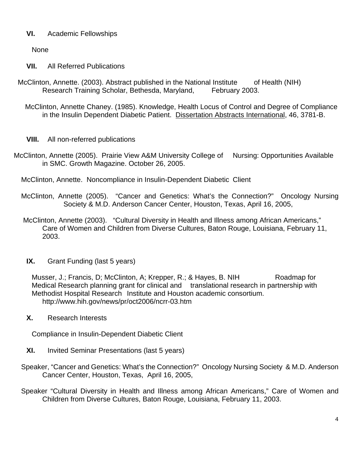## **VI.** Academic Fellowships

None

- **VII.** All Referred Publications
- McClinton, Annette. (2003). Abstract published in the National Institute of Health (NIH) Research Training Scholar, Bethesda, Maryland, February 2003.
	- McClinton, Annette Chaney. (1985). Knowledge, Health Locus of Control and Degree of Compliance in the Insulin Dependent Diabetic Patient. Dissertation Abstracts International, 46, 3781-B.
	- **VIII.** All non-referred publications
- McClinton, Annette (2005). Prairie View A&M University College of Nursing: Opportunities Available in SMC. Growth Magazine. October 26, 2005.
	- McClinton, Annette. Noncompliance in Insulin-Dependent Diabetic Client
	- McClinton, Annette (2005). "Cancer and Genetics: What's the Connection?" Oncology Nursing Society & M.D. Anderson Cancer Center, Houston, Texas, April 16, 2005,
	- McClinton, Annette (2003). "Cultural Diversity in Health and Illness among African Americans," Care of Women and Children from Diverse Cultures, Baton Rouge, Louisiana, February 11, 2003.
	- **IX.** Grant Funding (last 5 years)

Musser, J.; Francis, D; McClinton, A; Krepper, R.; & Hayes, B. NIH Roadmap for Medical Research planning grant for clinical and translational research in partnership with Methodist Hospital Research Institute and Houston academic consortium. http://www.hih.gov/news/pr/oct2006/ncrr-03.htm

**X.** Research Interests

Compliance in Insulin-Dependent Diabetic Client

- **XI.** Invited Seminar Presentations (last 5 years)
- Speaker, "Cancer and Genetics: What's the Connection?" Oncology Nursing Society & M.D. Anderson Cancer Center, Houston, Texas, April 16, 2005,
- Speaker "Cultural Diversity in Health and Illness among African Americans," Care of Women and Children from Diverse Cultures, Baton Rouge, Louisiana, February 11, 2003.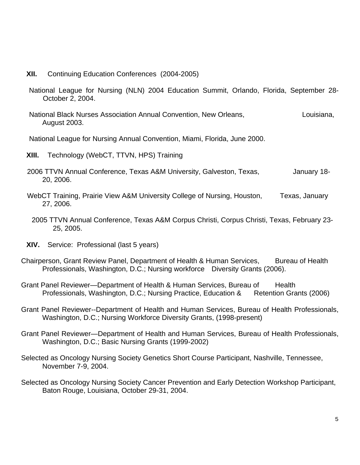- **XII.** Continuing Education Conferences (2004-2005)
- National League for Nursing (NLN) 2004 Education Summit, Orlando, Florida, September 28- October 2, 2004.
- National Black Nurses Association Annual Convention, New Orleans, The Munisiana, August 2003.

National League for Nursing Annual Convention, Miami, Florida, June 2000.

- **XIII.** Technology (WebCT, TTVN, HPS) Training
- 2006 TTVN Annual Conference, Texas A&M University, Galveston, Texas, Sanuary 18-20, 2006.
- WebCT Training, Prairie View A&M University College of Nursing, Houston, Texas, January 27, 2006.
	- 2005 TTVN Annual Conference, Texas A&M Corpus Christi, Corpus Christi, Texas, February 23- 25, 2005.
- **XIV.** Service: Professional (last 5 years)
- Chairperson, Grant Review Panel, Department of Health & Human Services, Bureau of Health Professionals, Washington, D.C.; Nursing workforce Diversity Grants (2006).
- Grant Panel Reviewer—Department of Health & Human Services, Bureau of Health Professionals, Washington, D.C.; Nursing Practice, Education & Retention Grants (2006)
- Grant Panel Reviewer--Department of Health and Human Services, Bureau of Health Professionals, Washington, D.C.; Nursing Workforce Diversity Grants, (1998-present)
- Grant Panel Reviewer—Department of Health and Human Services, Bureau of Health Professionals, Washington, D.C.; Basic Nursing Grants (1999-2002)
- Selected as Oncology Nursing Society Genetics Short Course Participant, Nashville, Tennessee, November 7-9, 2004.
- Selected as Oncology Nursing Society Cancer Prevention and Early Detection Workshop Participant, Baton Rouge, Louisiana, October 29-31, 2004.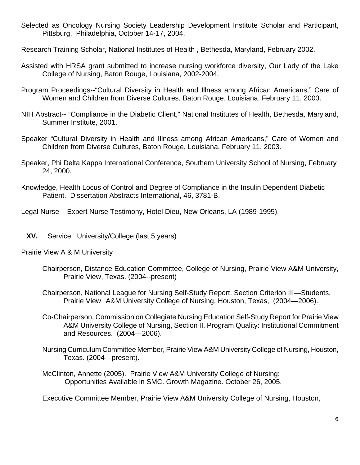- Selected as Oncology Nursing Society Leadership Development Institute Scholar and Participant, Pittsburg, Philadelphia, October 14-17, 2004.
- Research Training Scholar, National Institutes of Health , Bethesda, Maryland, February 2002.
- Assisted with HRSA grant submitted to increase nursing workforce diversity, Our Lady of the Lake College of Nursing, Baton Rouge, Louisiana, 2002-2004.
- Program Proceedings--"Cultural Diversity in Health and Illness among African Americans," Care of Women and Children from Diverse Cultures, Baton Rouge, Louisiana, February 11, 2003.
- NIH Abstract-- "Compliance in the Diabetic Client," National Institutes of Health, Bethesda, Maryland, Summer Institute, 2001.
- Speaker "Cultural Diversity in Health and Illness among African Americans," Care of Women and Children from Diverse Cultures, Baton Rouge, Louisiana, February 11, 2003.
- Speaker, Phi Delta Kappa International Conference, Southern University School of Nursing, February 24, 2000.
- Knowledge, Health Locus of Control and Degree of Compliance in the Insulin Dependent Diabetic Patient. Dissertation Abstracts International, 46, 3781-B.

Legal Nurse – Expert Nurse Testimony, Hotel Dieu, New Orleans, LA (1989-1995).

**XV.** Service: University/College (last 5 years)

Prairie View A & M University

- Chairperson, Distance Education Committee, College of Nursing, Prairie View A&M University, Prairie View, Texas. (2004--present)
- Chairperson, National League for Nursing Self-Study Report, Section Criterion III—Students, Prairie View A&M University College of Nursing, Houston, Texas, (2004—2006).
- Co-Chairperson, Commission on Collegiate Nursing Education Self-Study Report for Prairie View A&M University College of Nursing, Section II. Program Quality: Institutional Commitment and Resources. (2004—2006).
- Nursing Curriculum Committee Member, Prairie View A&M University College of Nursing, Houston, Texas. (2004—present).
- McClinton, Annette (2005). Prairie View A&M University College of Nursing: Opportunities Available in SMC. Growth Magazine. October 26, 2005.

Executive Committee Member, Prairie View A&M University College of Nursing, Houston,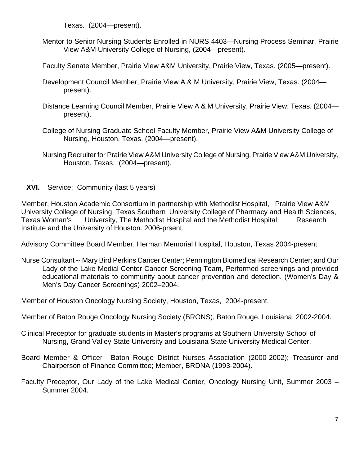Texas. (2004—present).

- Mentor to Senior Nursing Students Enrolled in NURS 4403—Nursing Process Seminar, Prairie View A&M University College of Nursing, (2004—present).
- Faculty Senate Member, Prairie View A&M University, Prairie View, Texas. (2005—present).
- Development Council Member, Prairie View A & M University, Prairie View, Texas. (2004 present).
- Distance Learning Council Member, Prairie View A & M University, Prairie View, Texas. (2004 present).
- College of Nursing Graduate School Faculty Member, Prairie View A&M University College of Nursing, Houston, Texas. (2004—present).
- Nursing Recruiter for Prairie View A&M University College of Nursing, Prairie View A&M University, Houston, Texas. (2004—present).
- **XVI.** Service: Community (last 5 years)

.

Member, Houston Academic Consortium in partnership with Methodist Hospital, Prairie View A&M University College of Nursing, Texas Southern University College of Pharmacy and Health Sciences, Texas Woman's University, The Methodist Hospital and the Methodist Hospital Research Institute and the University of Houston. 2006-prsent.

Advisory Committee Board Member, Herman Memorial Hospital, Houston, Texas 2004-present

Nurse Consultant -- Mary Bird Perkins Cancer Center; Pennington Biomedical Research Center; and Our Lady of the Lake Medial Center Cancer Screening Team, Performed screenings and provided educational materials to community about cancer prevention and detection. (Women's Day & Men's Day Cancer Screenings) 2002–2004.

Member of Houston Oncology Nursing Society, Houston, Texas, 2004-present.

- Member of Baton Rouge Oncology Nursing Society (BRONS), Baton Rouge, Louisiana, 2002-2004.
- Clinical Preceptor for graduate students in Master's programs at Southern University School of Nursing, Grand Valley State University and Louisiana State University Medical Center.
- Board Member & Officer-- Baton Rouge District Nurses Association (2000-2002); Treasurer and Chairperson of Finance Committee; Member, BRDNA (1993-2004).
- Faculty Preceptor, Our Lady of the Lake Medical Center, Oncology Nursing Unit, Summer 2003 Summer 2004.